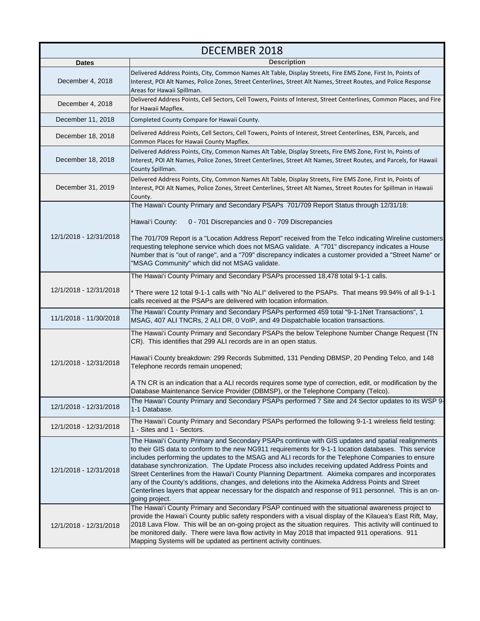| <b>DECEMBER 2018</b>   |                                                                                                                                                                                                                                                                                                                                                                                                                                                                                                                                                                                                                                                                                                                                                          |
|------------------------|----------------------------------------------------------------------------------------------------------------------------------------------------------------------------------------------------------------------------------------------------------------------------------------------------------------------------------------------------------------------------------------------------------------------------------------------------------------------------------------------------------------------------------------------------------------------------------------------------------------------------------------------------------------------------------------------------------------------------------------------------------|
| <b>Dates</b>           | <b>Description</b>                                                                                                                                                                                                                                                                                                                                                                                                                                                                                                                                                                                                                                                                                                                                       |
| December 4, 2018       | Delivered Address Points, City, Common Names Alt Table, Display Streets, Fire EMS Zone, First In, Points of<br>Interest, POI Alt Names, Police Zones, Street Centerlines, Street Alt Names, Street Routes, and Police Response<br>Areas for Hawaii Spillman.                                                                                                                                                                                                                                                                                                                                                                                                                                                                                             |
| December 4, 2018       | Delivered Address Points, Cell Sectors, Cell Towers, Points of Interest, Street Centerlines, Common Places, and Fire<br>for Hawaii Mapflex.                                                                                                                                                                                                                                                                                                                                                                                                                                                                                                                                                                                                              |
| December 11, 2018      | Completed County Compare for Hawaii County.                                                                                                                                                                                                                                                                                                                                                                                                                                                                                                                                                                                                                                                                                                              |
| December 18, 2018      | Delivered Address Points, Cell Sectors, Cell Towers, Points of Interest, Street Centerlines, ESN, Parcels, and<br>Common Places for Hawaii County Mapflex.                                                                                                                                                                                                                                                                                                                                                                                                                                                                                                                                                                                               |
| December 18, 2018      | Delivered Address Points, City, Common Names Alt Table, Display Streets, Fire EMS Zone, First In, Points of<br>Interest, POI Alt Names, Police Zones, Street Centerlines, Street Alt Names, Street Routes, and Parcels, for Hawaii<br>County Spillman.                                                                                                                                                                                                                                                                                                                                                                                                                                                                                                   |
| December 31, 2019      | Delivered Address Points, City, Common Names Alt Table, Display Streets, Fire EMS Zone, First In, Points of<br>Interest, POI Alt Names, Police Zones, Street Centerlines, Street Alt Names, Street Routes for Spillman in Hawaii<br>County.                                                                                                                                                                                                                                                                                                                                                                                                                                                                                                              |
| 12/1/2018 - 12/31/2018 | The Hawai'i County Primary and Secondary PSAPs 701/709 Report Status through 12/31/18:                                                                                                                                                                                                                                                                                                                                                                                                                                                                                                                                                                                                                                                                   |
|                        | 0 - 701 Discrepancies and 0 - 709 Discrepancies<br>Hawai'i County:                                                                                                                                                                                                                                                                                                                                                                                                                                                                                                                                                                                                                                                                                       |
|                        | The 701/709 Report is a "Location Address Report" received from the Telco indicating Wireline customers<br>requesting telephone service which does not MSAG validate. A "701" discrepancy indicates a House<br>Number that is "out of range", and a "709" discrepancy indicates a customer provided a "Street Name" or<br>"MSAG Community" which did not MSAG validate.                                                                                                                                                                                                                                                                                                                                                                                  |
| 12/1/2018 - 12/31/2018 | The Hawai'i County Primary and Secondary PSAPs processed 18,478 total 9-1-1 calls.                                                                                                                                                                                                                                                                                                                                                                                                                                                                                                                                                                                                                                                                       |
|                        | There were 12 total 9-1-1 calls with "No ALI" delivered to the PSAPs. That means 99.94% of all 9-1-1<br>calls received at the PSAPs are delivered with location information.                                                                                                                                                                                                                                                                                                                                                                                                                                                                                                                                                                             |
| 11/1/2018 - 11/30/2018 | The Hawai'i County Primary and Secondary PSAPs performed 459 total "9-1-1Net Transactions", 1<br>MSAG, 407 ALI TNCRs, 2 ALI DR, 0 VoIP, and 49 Dispatchable location transactions.                                                                                                                                                                                                                                                                                                                                                                                                                                                                                                                                                                       |
| 12/1/2018 - 12/31/2018 | The Hawai'i County Primary and Secondary PSAPs the below Telephone Number Change Request (TN<br>CR). This identifies that 299 ALI records are in an open status.<br>Hawai'i County breakdown: 299 Records Submitted, 131 Pending DBMSP, 20 Pending Telco, and 148<br>Telephone records remain unopened;                                                                                                                                                                                                                                                                                                                                                                                                                                                  |
|                        | A TN CR is an indication that a ALI records requires some type of correction, edit, or modification by the<br>Database Maintenance Service Provider (DBMSP), or the Telephone Company (Telco).                                                                                                                                                                                                                                                                                                                                                                                                                                                                                                                                                           |
| 12/1/2018 - 12/31/2018 | The Hawai'i County Primary and Secondary PSAPs performed 7 Site and 24 Sector updates to its WSP 9-<br>1-1 Database.                                                                                                                                                                                                                                                                                                                                                                                                                                                                                                                                                                                                                                     |
| 12/1/2018 - 12/31/2018 | The Hawai'i County Primary and Secondary PSAPs performed the following 9-1-1 wireless field testing:<br>1 - Sites and 1 - Sectors.                                                                                                                                                                                                                                                                                                                                                                                                                                                                                                                                                                                                                       |
| 12/1/2018 - 12/31/2018 | The Hawai'i County Primary and Secondary PSAPs continue with GIS updates and spatial realignments<br>to their GIS data to conform to the new NG911 requirements for 9-1-1 location databases. This service<br>includes performing the updates to the MSAG and ALI records for the Telephone Companies to ensure<br>database synchronization. The Update Process also includes receiving updated Address Points and<br>Street Centerlines from the Hawai'i County Planning Department. Akimeka compares and incorporates<br>any of the County's additions, changes, and deletions into the Akimeka Address Points and Street<br>Centerlines layers that appear necessary for the dispatch and response of 911 personnel. This is an on-<br>going project. |
| 12/1/2018 - 12/31/2018 | The Hawai'i County Primary and Secondary PSAP continued with the situational awareness project to<br>provide the Hawai'i County public safety responders with a visual display of the Kilauea's East Rift, May,<br>2018 Lava Flow. This will be an on-going project as the situation requires. This activity will continued to<br>be monitored daily. There were lava flow activity in May 2018 that impacted 911 operations. 911<br>Mapping Systems will be updated as pertinent activity continues.                                                                                                                                                                                                                                                    |